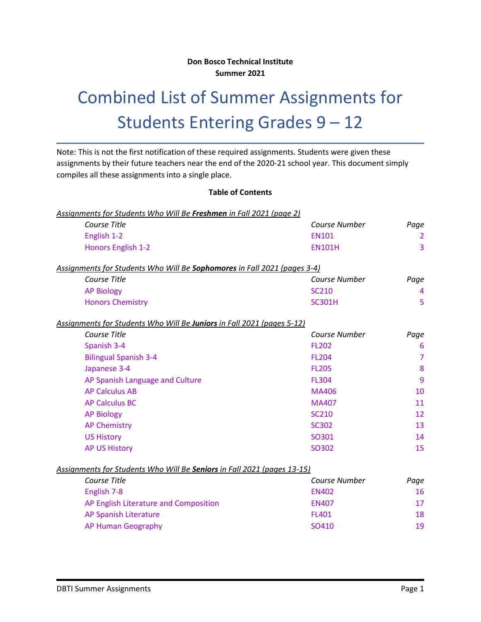## **Don Bosco Technical Institute Summer 2021**

# Combined List of Summer Assignments for Students Entering Grades 9 – 12

Note: This is not the first notification of these required assignments. Students were given these assignments by their future teachers near the end of the 2020-21 school year. This document simply compiles all these assignments into a single place.

## **Table of Contents**

| Assignments for Students Who Will Be Freshmen in Fall 2021 (page 2)      |                      |                |
|--------------------------------------------------------------------------|----------------------|----------------|
| Course Title                                                             | <b>Course Number</b> | Page           |
| English 1-2                                                              | <b>EN101</b>         | $\overline{2}$ |
| Honors English 1-2                                                       | <b>EN101H</b>        | 3              |
| Assignments for Students Who Will Be Sophomores in Fall 2021 (pages 3-4) |                      |                |
| Course Title                                                             | Course Number        | Page           |
| <b>AP Biology</b>                                                        | <b>SC210</b>         | 4              |
| <b>Honors Chemistry</b>                                                  | <b>SC301H</b>        | 5              |
| Assignments for Students Who Will Be Juniors in Fall 2021 (pages 5-12)   |                      |                |
| Course Title                                                             | Course Number        | Page           |
| Spanish 3-4                                                              | <b>FL202</b>         | 6              |
| <b>Bilingual Spanish 3-4</b>                                             | <b>FL204</b>         | $\overline{7}$ |
| Japanese 3-4                                                             | <b>FL205</b>         | 8              |
| AP Spanish Language and Culture                                          | <b>FL304</b>         | 9              |
| <b>AP Calculus AB</b>                                                    | <b>MA406</b>         | 10             |
| <b>AP Calculus BC</b>                                                    | <b>MA407</b>         | 11             |
| <b>AP Biology</b>                                                        | <b>SC210</b>         | 12             |
| <b>AP Chemistry</b>                                                      | <b>SC302</b>         | 13             |
| <b>US History</b>                                                        | SO301                | 14             |
| <b>AP US History</b>                                                     | SO302                | 15             |
| Assignments for Students Who Will Be Seniors in Fall 2021 (pages 13-15)  |                      |                |
| Course Title                                                             | <b>Course Number</b> | Page           |
| English 7-8                                                              | <b>EN402</b>         | 16             |
| AP English Literature and Composition                                    | <b>EN407</b>         | 17             |
| AP Spanish Literature                                                    | <b>FL401</b>         | 18             |
| <b>AP Human Geography</b>                                                | SO410                | 19             |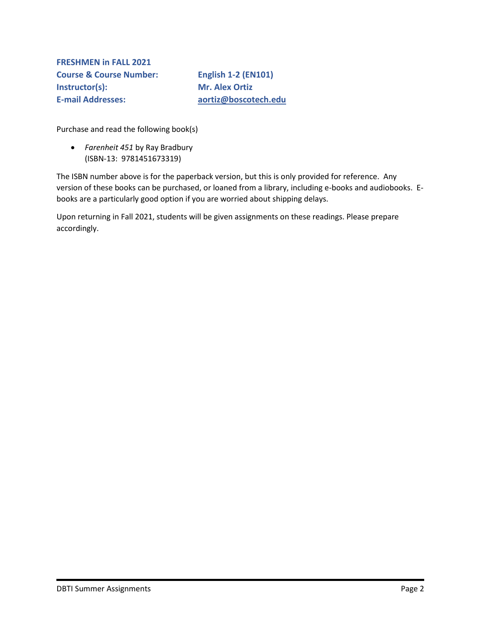<span id="page-1-0"></span>**FRESHMEN in FALL 2021 Course & Course Number: English 1-2 (EN101) Instructor(s): Mr. Alex Ortiz E-mail Addresses: [aortiz@boscotech.edu](about:blank)**

Purchase and read the following book(s)

 *Farenheit 451* by Ray Bradbury (ISBN-13: 9781451673319)

The ISBN number above is for the paperback version, but this is only provided for reference. Any version of these books can be purchased, or loaned from a library, including e-books and audiobooks. Ebooks are a particularly good option if you are worried about shipping delays.

Upon returning in Fall 2021, students will be given assignments on these readings. Please prepare accordingly.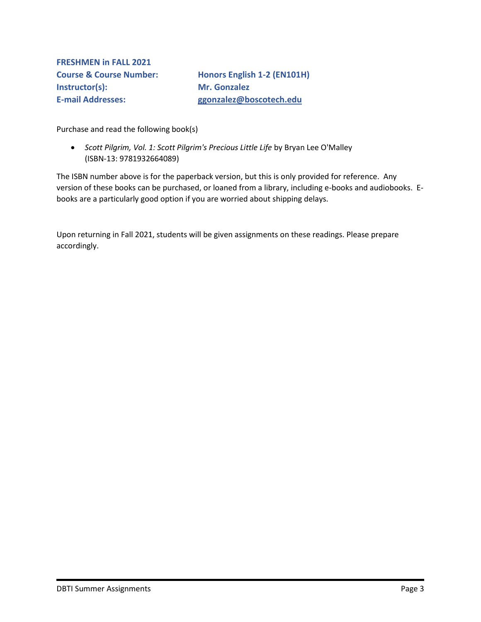**FRESHMEN in FALL 2021 Instructor(s): Mr. Gonzalez** 

**Course & Course Number: Honors English 1-2 (EN101H) E-mail Addresses: [ggonzalez@boscotech.edu](about:blank)**

Purchase and read the following book(s)

 *Scott Pilgrim, Vol. 1: Scott Pilgrim's Precious Little Life* by Bryan Lee O'Malley (ISBN-13: 9781932664089)

The ISBN number above is for the paperback version, but this is only provided for reference. Any version of these books can be purchased, or loaned from a library, including e-books and audiobooks. Ebooks are a particularly good option if you are worried about shipping delays.

Upon returning in Fall 2021, students will be given assignments on these readings. Please prepare accordingly.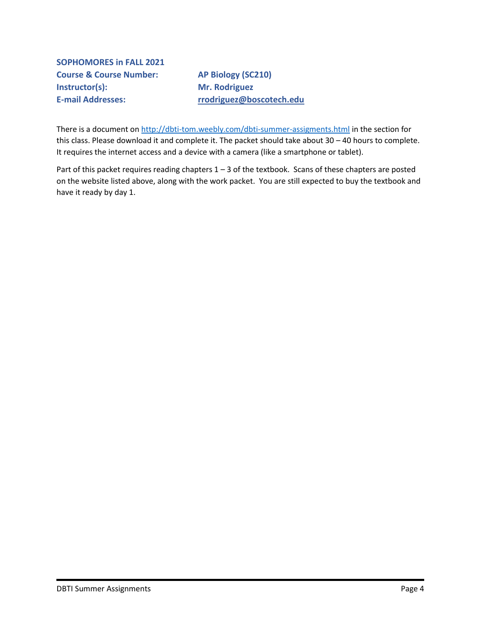<span id="page-3-0"></span>**SOPHOMORES in FALL 2021 Course & Course Number: AP Biology (SC210) Instructor(s):** Mr. Rodriguez

**E-mail Addresses: [rrodriguez@boscotech.edu](about:blank)**

There is a document on [http://dbti-tom.weebly.com/dbti-summer-assigments.html](about:blank) in the section for this class. Please download it and complete it. The packet should take about 30 – 40 hours to complete. It requires the internet access and a device with a camera (like a smartphone or tablet).

Part of this packet requires reading chapters 1 – 3 of the textbook. Scans of these chapters are posted on the website listed above, along with the work packet. You are still expected to buy the textbook and have it ready by day 1.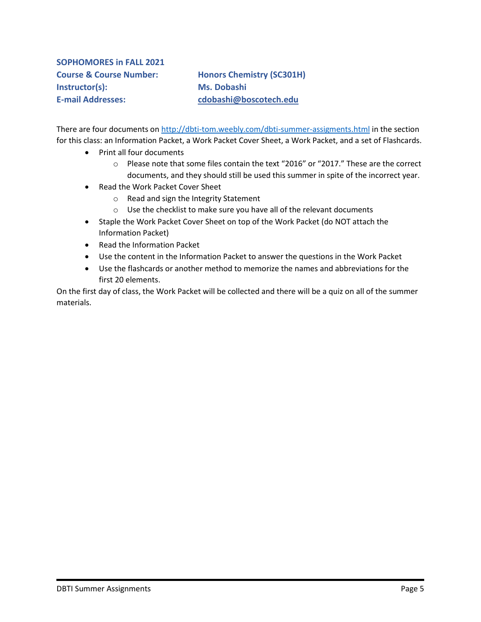# <span id="page-4-0"></span>**SOPHOMORES in FALL 2021 Instructor(s): Ms. Dobashi**

**Course & Course Number: Honors Chemistry (SC301H) E-mail Addresses: [cdobashi@boscotech.edu](about:blank)**

There are four documents on [http://dbti-tom.weebly.com/dbti-summer-assigments.html](about:blank) in the section for this class: an Information Packet, a Work Packet Cover Sheet, a Work Packet, and a set of Flashcards.

- Print all four documents
	- $\circ$  Please note that some files contain the text "2016" or "2017." These are the correct documents, and they should still be used this summer in spite of the incorrect year.
- Read the Work Packet Cover Sheet
	- o Read and sign the Integrity Statement
	- o Use the checklist to make sure you have all of the relevant documents
- Staple the Work Packet Cover Sheet on top of the Work Packet (do NOT attach the Information Packet)
- Read the Information Packet
- Use the content in the Information Packet to answer the questions in the Work Packet
- Use the flashcards or another method to memorize the names and abbreviations for the first 20 elements.

On the first day of class, the Work Packet will be collected and there will be a quiz on all of the summer materials.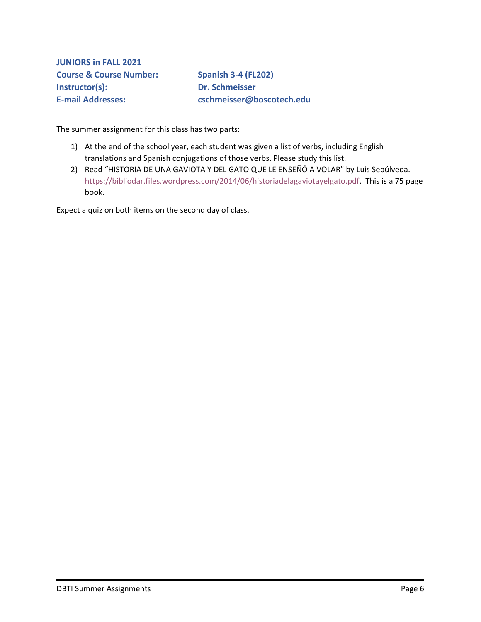<span id="page-5-0"></span>**JUNIORS in FALL 2021 Course & Course Number: Spanish 3-4 (FL202) Instructor(s): Dr. Schmeisser E-mail Addresses: [cschmeisser@boscotech.edu](about:blank)**

The summer assignment for this class has two parts:

- 1) At the end of the school year, each student was given a list of verbs, including English translations and Spanish conjugations of those verbs. Please study this list.
- 2) Read "HISTORIA DE UNA GAVIOTA Y DEL GATO QUE LE ENSEÑÓ A VOLAR" by Luis Sepúlveda. [https://bibliodar.files.wordpress.com/2014/06/historiadelagaviotayelgato.pdf.](https://bibliodar.files.wordpress.com/2014/06/historiadelagaviotayelgato.pdf) This is a 75 page book.

Expect a quiz on both items on the second day of class.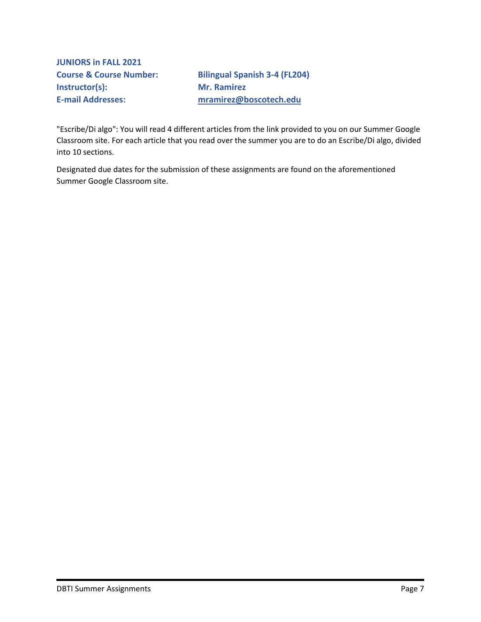<span id="page-6-0"></span>**JUNIORS in FALL 2021 Instructor(s): Mr. Ramirez** 

**Course & Course Number: Bilingual Spanish 3-4 (FL204) E-mail Addresses: [mramirez@boscotech.edu](about:blank)**

"Escribe/Di algo": You will read 4 different articles from the link provided to you on our Summer Google Classroom site. For each article that you read over the summer you are to do an Escribe/Di algo, divided into 10 sections.

Designated due dates for the submission of these assignments are found on the aforementioned Summer Google Classroom site.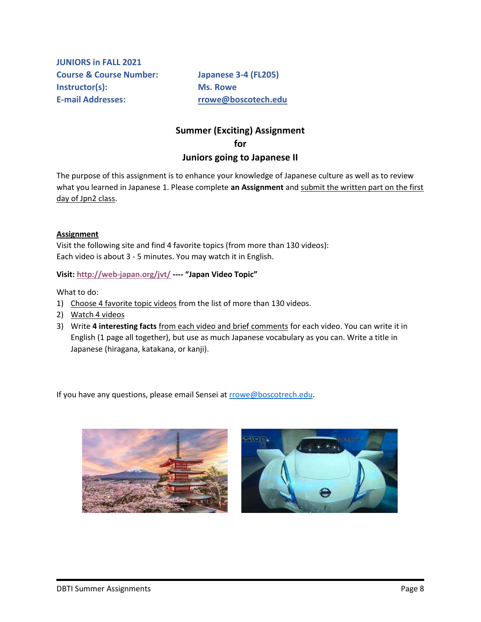<span id="page-7-0"></span>**JUNIORS in FALL 2021 Course & Course Number: Japanese 3-4 (FL205) Instructor(s): Ms. Rowe E-mail Addresses: [rrowe@boscotech.edu](about:blank)**

## **Summer (Exciting) Assignment for Juniors going to Japanese II**

The purpose of this assignment is to enhance your knowledge of Japanese culture as well as to review what you learned in Japanese 1. Please complete **an Assignment** and submit the written part on the first day of Jpn2 class.

### **Assignment**

Visit the following site and find 4 favorite topics (from more than 130 videos): Each video is about 3 - 5 minutes. You may watch it in English.

**Visit[: http://web-japan.org/jvt/](http://web-japan.org/jvt/) ---- "Japan Video Topic"**

What to do:

- 1) Choose 4 favorite topic videos from the list of more than 130 videos.
- 2) Watch 4 videos
- 3) Write **4 interesting facts** from each video and brief comments for each video. You can write it in English (1 page all together), but use as much Japanese vocabulary as you can. Write a title in Japanese (hiragana, katakana, or kanji).

If you have any questions, please email Sensei a[t rrowe@boscotrech.edu.](about:blank)

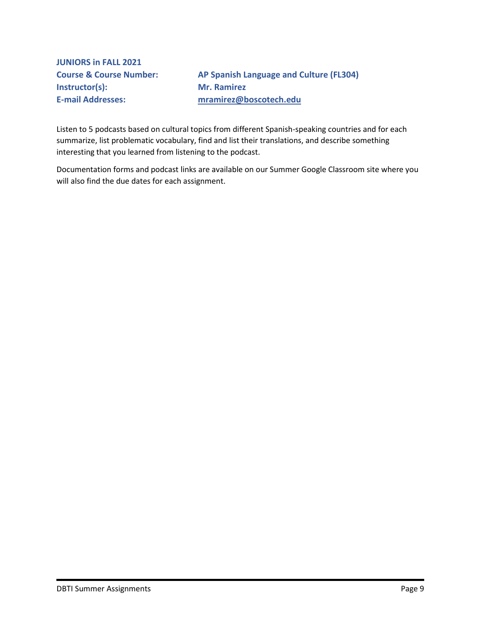<span id="page-8-0"></span>**JUNIORS in FALL 2021 Instructor(s): Mr. Ramirez E-mail Addresses: [mramirez@boscotech.edu](about:blank)**

**Course & Course Number: AP Spanish Language and Culture (FL304)**

Listen to 5 podcasts based on cultural topics from different Spanish-speaking countries and for each summarize, list problematic vocabulary, find and list their translations, and describe something interesting that you learned from listening to the podcast.

Documentation forms and podcast links are available on our Summer Google Classroom site where you will also find the due dates for each assignment.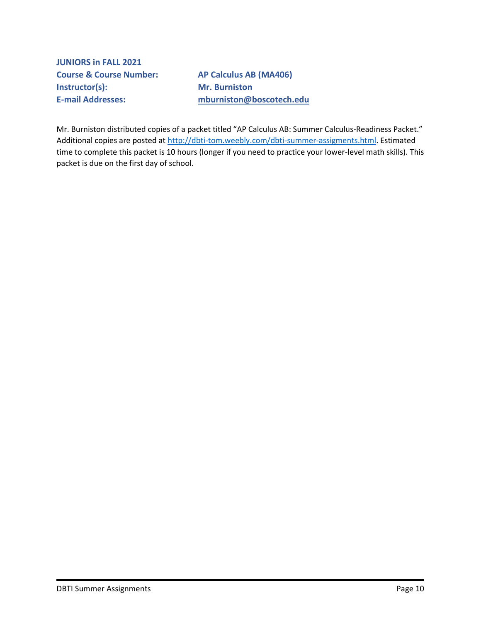<span id="page-9-0"></span>**JUNIORS in FALL 2021 Course & Course Number: AP Calculus AB (MA406) Instructor(s): Mr. Burniston** 

**E-mail Addresses: [mburniston@boscotech.edu](about:blank)**

Mr. Burniston distributed copies of a packet titled "AP Calculus AB: Summer Calculus-Readiness Packet." Additional copies are posted at [http://dbti-tom.weebly.com/dbti-summer-assigments.html.](about:blank) Estimated time to complete this packet is 10 hours (longer if you need to practice your lower-level math skills). This packet is due on the first day of school.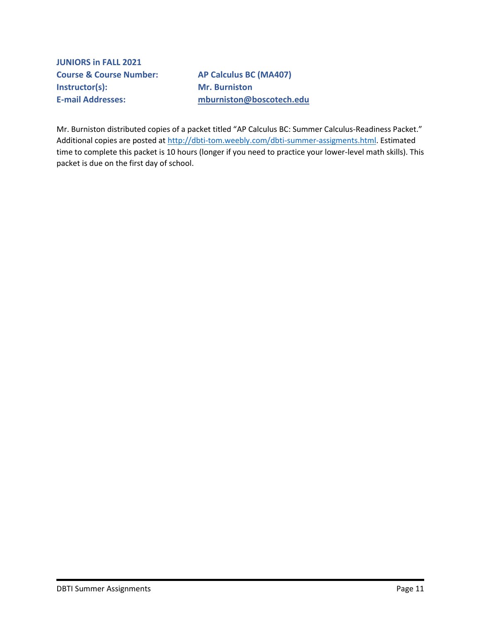<span id="page-10-0"></span>**JUNIORS in FALL 2021 Course & Course Number: AP Calculus BC (MA407) Instructor(s): Mr. Burniston** 

**E-mail Addresses: [mburniston@boscotech.edu](about:blank)**

Mr. Burniston distributed copies of a packet titled "AP Calculus BC: Summer Calculus-Readiness Packet." Additional copies are posted at [http://dbti-tom.weebly.com/dbti-summer-assigments.html.](about:blank) Estimated time to complete this packet is 10 hours (longer if you need to practice your lower-level math skills). This packet is due on the first day of school.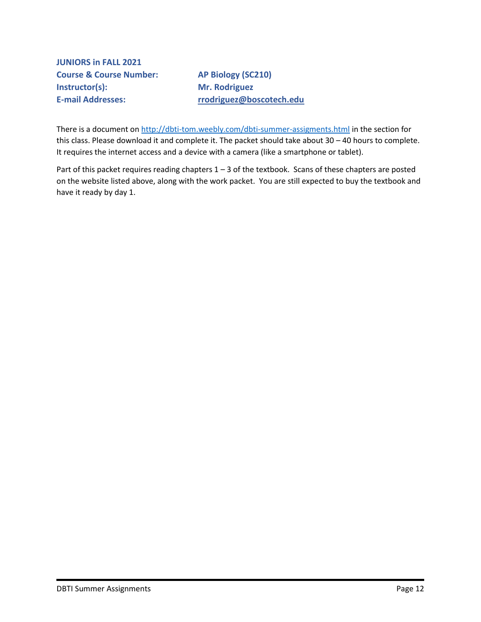<span id="page-11-0"></span>**JUNIORS in FALL 2021 Course & Course Number: AP Biology (SC210) Instructor(s):** Mr. Rodriguez

**E-mail Addresses: [rrodriguez@boscotech.edu](about:blank)**

There is a document on [http://dbti-tom.weebly.com/dbti-summer-assigments.html](about:blank) in the section for this class. Please download it and complete it. The packet should take about 30 – 40 hours to complete. It requires the internet access and a device with a camera (like a smartphone or tablet).

Part of this packet requires reading chapters 1 – 3 of the textbook. Scans of these chapters are posted on the website listed above, along with the work packet. You are still expected to buy the textbook and have it ready by day 1.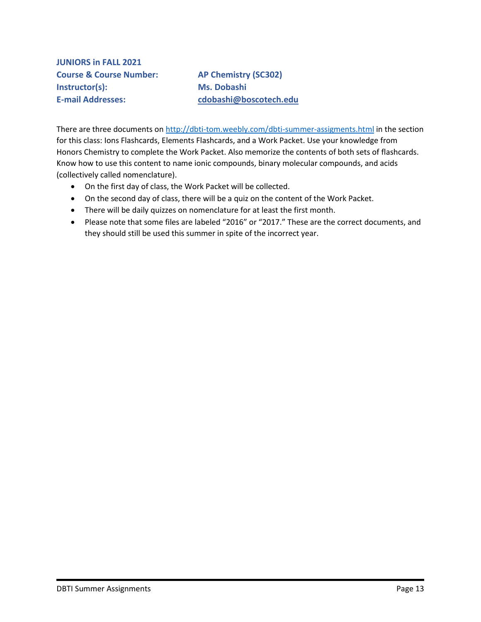<span id="page-12-0"></span>**JUNIORS in FALL 2021 Course & Course Number: AP Chemistry (SC302) Instructor(s): Ms. Dobashi E-mail Addresses: [cdobashi@boscotech.edu](about:blank)**

There are three documents on [http://dbti-tom.weebly.com/dbti-summer-assigments.html](about:blank) in the section for this class: Ions Flashcards, Elements Flashcards, and a Work Packet. Use your knowledge from Honors Chemistry to complete the Work Packet. Also memorize the contents of both sets of flashcards. Know how to use this content to name ionic compounds, binary molecular compounds, and acids (collectively called nomenclature).

- On the first day of class, the Work Packet will be collected.
- On the second day of class, there will be a quiz on the content of the Work Packet.
- There will be daily quizzes on nomenclature for at least the first month.
- Please note that some files are labeled "2016" or "2017." These are the correct documents, and they should still be used this summer in spite of the incorrect year.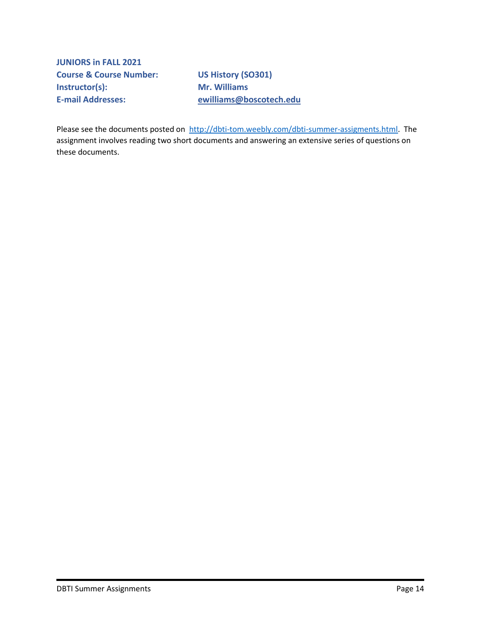**JUNIORS in FALL 2021 Course & Course Number: US History (SO301) Instructor(s): Mr. Williams E-mail Addresses: [ewilliams@boscotech.edu](about:blank)**

Please see the documents posted on [http://dbti-tom.weebly.com/dbti-summer-assigments.html.](about:blank) The assignment involves reading two short documents and answering an extensive series of questions on these documents.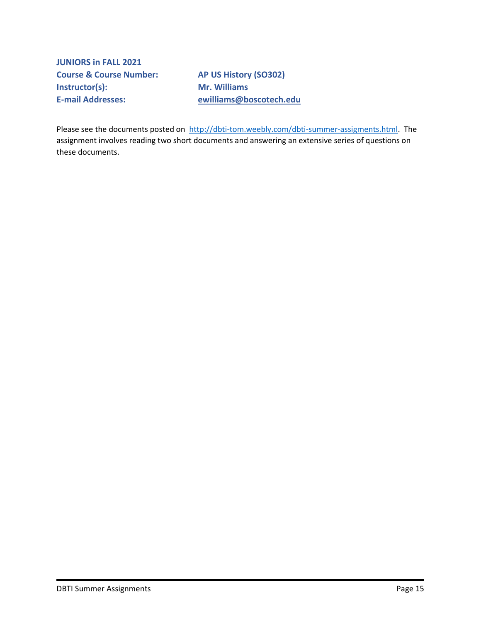**JUNIORS in FALL 2021 Course & Course Number: AP US History (SO302) Instructor(s): Mr. Williams** 

**E-mail Addresses: [ewilliams@boscotech.edu](about:blank)**

Please see the documents posted on [http://dbti-tom.weebly.com/dbti-summer-assigments.html.](about:blank) The assignment involves reading two short documents and answering an extensive series of questions on these documents.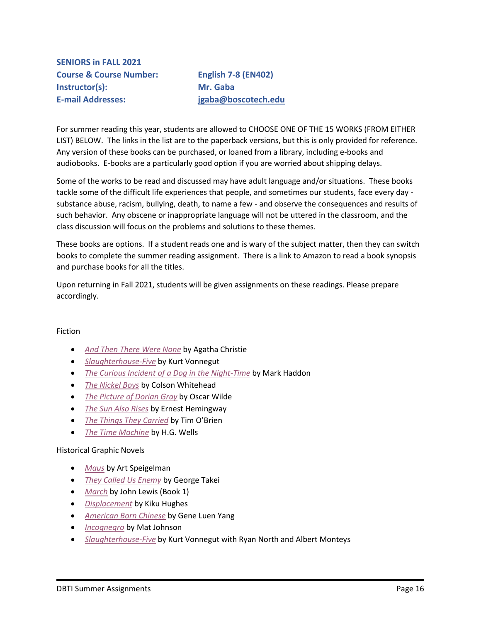<span id="page-15-0"></span>**SENIORS in FALL 2021 Course & Course Number: English 7-8 (EN402) Instructor(s): Mr. Gaba E-mail Addresses: [jgaba@boscotech.edu](about:blank)**

For summer reading this year, students are allowed to CHOOSE ONE OF THE 15 WORKS (FROM EITHER LIST) BELOW. The links in the list are to the paperback versions, but this is only provided for reference. Any version of these books can be purchased, or loaned from a library, including e-books and audiobooks. E-books are a particularly good option if you are worried about shipping delays.

Some of the works to be read and discussed may have adult language and/or situations. These books tackle some of the difficult life experiences that people, and sometimes our students, face every day substance abuse, racism, bullying, death, to name a few - and observe the consequences and results of such behavior. Any obscene or inappropriate language will not be uttered in the classroom, and the class discussion will focus on the problems and solutions to these themes.

These books are options. If a student reads one and is wary of the subject matter, then they can switch books to complete the summer reading assignment. There is a link to Amazon to read a book synopsis and purchase books for all the titles.

Upon returning in Fall 2021, students will be given assignments on these readings. Please prepare accordingly.

## Fiction

- *[And Then There Were None](https://www.amazon.com/Agatha-Christie-Mysteries-Collection-Paperback/dp/0062073478)* by Agatha Christie
- *[Slaughterhouse-Five](https://www.amazon.com/Slaughterhouse-Five-Novel-Modern-Library-Novels-dp-0385333846/dp/0385333846)* by Kurt Vonnegut
- *[The Curious Incident of a Dog in the Night-Time](https://www.amazon.com/Curious-Incident-Dog-Night-Time/dp/1400032717)* by Mark Haddon
- *[The Nickel Boys](https://www.amazon.com/Nickel-Boys-Novel-Colson-Whitehead/dp/0345804341)* by Colson Whitehead
- *[The Picture of Dorian Gray](https://www.amazon.com/Picture-Dorian-Stories-Signet-Classics/dp/0451530454)* by Oscar Wilde
- *[The Sun Also Rises](https://www.amazon.com/Sun-Also-Rises-Hemingway-Library/dp/1501121960)* by Ernest Hemingway
- *[The Things They Carried](https://www.amazon.com/Things-They-Carried-Tim-OBrien-dp-0618706410/dp/0618706410)* by Tim O'Brien
- *[The Time Machine](https://www.amazon.com/Time-Machine-H-G-Wells/dp/1688583521)* by H.G. Wells

#### Historical Graphic Novels

- *[Maus](https://www.amazon.com/Maus-Survivors-Father-Bleeds-History/dp/0394747232)* by Art Speigelman
- *[They Called Us Enemy](https://www.amazon.com/They-Called-Enemy-George-Takei/dp/1603094504)* by George Takei
- *[March](https://www.amazon.com/March-Book-One-John-Lewis/dp/1603093001)* by John Lewis (Book 1)
- *[Displacement](https://www.amazon.com/Displacement-Kiku-Hughes/dp/1250193532)* by Kiku Hughes
- *[American Born Chinese](https://www.amazon.com/American-Born-Chinese-Gene-Luen-ebook/dp/B07BZP5131)* by Gene Luen Yang
- *[Incognegro](https://www.amazon.com/Incognegro-Graphic-Mystery-Mat-Johnson/dp/1506705642)* by Mat Johnson
- *[Slaughterhouse-Five](https://www.amazon.com/Slaughterhouse-Five-Ryan-North/dp/1684156254)* by Kurt Vonnegut with Ryan North and Albert Monteys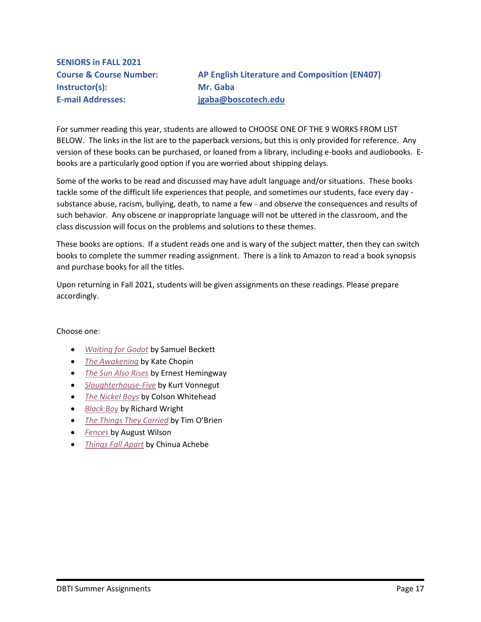<span id="page-16-0"></span>**SENIORS in FALL 2021 Instructor(s): Mr. Gaba E-mail Addresses: [jgaba@boscotech.edu](about:blank)**

**Course & Course Number: AP English Literature and Composition (EN407)**

For summer reading this year, students are allowed to CHOOSE ONE OF THE 9 WORKS FROM LIST BELOW. The links in the list are to the paperback versions, but this is only provided for reference. Any version of these books can be purchased, or loaned from a library, including e-books and audiobooks. Ebooks are a particularly good option if you are worried about shipping delays.

Some of the works to be read and discussed may have adult language and/or situations. These books tackle some of the difficult life experiences that people, and sometimes our students, face every day substance abuse, racism, bullying, death, to name a few - and observe the consequences and results of such behavior. Any obscene or inappropriate language will not be uttered in the classroom, and the class discussion will focus on the problems and solutions to these themes.

These books are options. If a student reads one and is wary of the subject matter, then they can switch books to complete the summer reading assignment. There is a link to Amazon to read a book synopsis and purchase books for all the titles.

Upon returning in Fall 2021, students will be given assignments on these readings. Please prepare accordingly.

Choose one:

- *[Waiting for Godot](https://www.amazon.com/Waiting-Godot-Tragicomedy-Two-Acts/dp/080214442X)* by Samuel Beckett
- *[The Awakening](https://www.amazon.com/Awakening-Kate-Chopin/dp/B087CSZ5K9)* by Kate Chopin
- *[The Sun Also Rises](https://www.amazon.com/Sun-Also-Rises-Hemingway-Library/dp/1501121960)* by Ernest Hemingway
- *[Slaughterhouse-Five](https://www.amazon.com/Slaughterhouse-Five-Novel-Modern-Library-Novels-dp-0385333846/dp/0385333846)* by Kurt Vonnegut
- *[The Nickel Boys](https://www.amazon.com/Nickel-Boys-Novel-Colson-Whitehead/dp/0345804341)* by Colson Whitehead
- *[Black Boy](https://www.amazon.com/Black-Folio-French-Richard-Wright/dp/207036965X)* by Richard Wright
- *[The Things They Carried](https://www.amazon.com/Things-They-Carried-Tim-OBrien-dp-0618706410/dp/0618706410)* by Tim O'Brien
- *[Fences](https://www.amazon.com/Fences-August-Wilson/dp/0452264014)* by August Wilson
- *[Things Fall Apart](https://www.amazon.com/Things-Fall-Apart-Chinua-Achebe/dp/0385474547)* by Chinua Achebe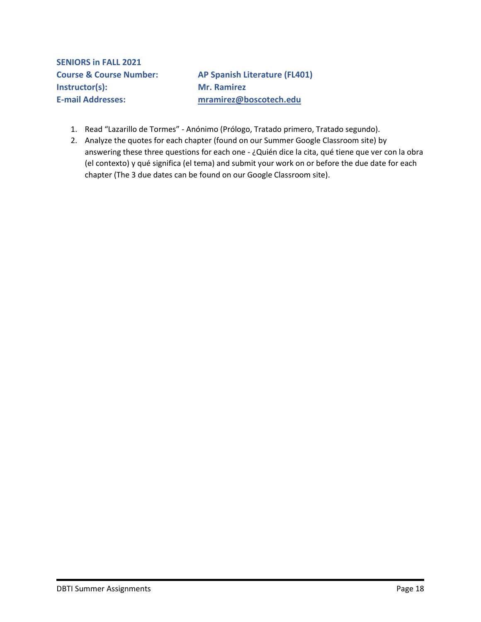<span id="page-17-0"></span>**Course & Course Number: AP Spanish Literature (FL401) E-mail Addresses: [mramirez@boscotech.edu](about:blank)**

- 1. Read "Lazarillo de Tormes" Anónimo (Prólogo, Tratado primero, Tratado segundo).
- 2. Analyze the quotes for each chapter (found on our Summer Google Classroom site) by answering these three questions for each one - ¿Quién dice la cita, qué tiene que ver con la obra (el contexto) y qué significa (el tema) and submit your work on or before the due date for each chapter (The 3 due dates can be found on our Google Classroom site).